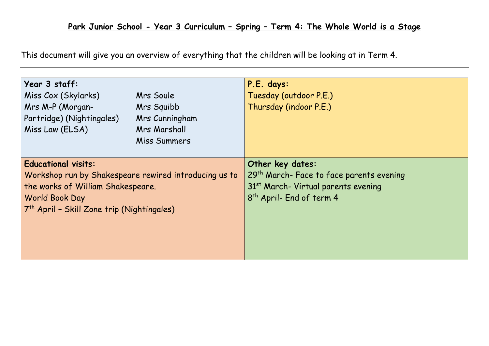This document will give you an overview of everything that the children will be looking at in Term 4.

| Year 3 staff:<br>Miss Cox (Skylarks)<br>Mrs M-P (Morgan-<br>Partridge) (Nightingales)<br>Miss Law (ELSA)                                                                                             | Mrs Soule<br>Mrs Squibb<br>Mrs Cunningham<br>Mrs Marshall<br>Miss Summers | P.E. days:<br>Tuesday (outdoor P.E.)<br>Thursday (indoor P.E.)                                                                                                      |  |
|------------------------------------------------------------------------------------------------------------------------------------------------------------------------------------------------------|---------------------------------------------------------------------------|---------------------------------------------------------------------------------------------------------------------------------------------------------------------|--|
| <b>Educational visits:</b><br>Workshop run by Shakespeare rewired introducing us to<br>the works of William Shakespeare.<br>World Book Day<br>7 <sup>th</sup> April - Skill Zone trip (Nightingales) |                                                                           | Other key dates:<br>29 <sup>th</sup> March- Face to face parents evening<br>31 <sup>st</sup> March- Virtual parents evening<br>8 <sup>th</sup> April- End of term 4 |  |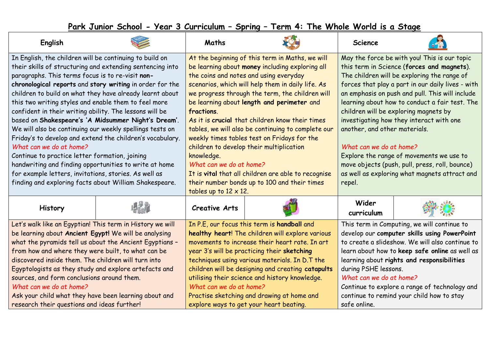## **Park Junior School - Year 3 Curriculum – Spring – Term 4: The Whole World is a Stage**

| English                                                                                                                                                                                                                                                                                                                                                                                                                                                                                                                                                                                                                                                                                                                                                                                                                                                       |  | Maths                                                                                                                                                                                                                                                                                                                                                                                                                                                                                                                                                                                                                                                                                                 |  | <b>Science</b>                                                                                                                                                                                                                                                                                                                                                                                                                                                                                                                                                                                                |  |
|---------------------------------------------------------------------------------------------------------------------------------------------------------------------------------------------------------------------------------------------------------------------------------------------------------------------------------------------------------------------------------------------------------------------------------------------------------------------------------------------------------------------------------------------------------------------------------------------------------------------------------------------------------------------------------------------------------------------------------------------------------------------------------------------------------------------------------------------------------------|--|-------------------------------------------------------------------------------------------------------------------------------------------------------------------------------------------------------------------------------------------------------------------------------------------------------------------------------------------------------------------------------------------------------------------------------------------------------------------------------------------------------------------------------------------------------------------------------------------------------------------------------------------------------------------------------------------------------|--|---------------------------------------------------------------------------------------------------------------------------------------------------------------------------------------------------------------------------------------------------------------------------------------------------------------------------------------------------------------------------------------------------------------------------------------------------------------------------------------------------------------------------------------------------------------------------------------------------------------|--|
| In English, the children will be continuing to build on<br>their skills of structuring and extending sentencing into<br>paragraphs. This terms focus is to re-visit non-<br>chronological reports and story writing in order for the<br>children to build on what they have already learnt about<br>this two writing styles and enable them to feel more<br>confident in their writing ability. The lessons will be<br>based on Shakespeare's 'A Midsummer Night's Dream'.<br>We will also be continuing our weekly spellings tests on<br>Friday's to develop and extend the children's vocabulary.<br>What can we do at home?<br>Continue to practice letter formation, joining<br>handwriting and finding opportunities to write at home<br>for example letters, invitations, stories. As well as<br>finding and exploring facts about William Shakespeare. |  | At the beginning of this term in Maths, we will<br>be learning about money including exploring all<br>the coins and notes and using everyday<br>scenarios, which will help them in daily life. As<br>we progress through the term, the children will<br>be learning about length and perimeter and<br>fractions.<br>As it is crucial that children know their times<br>tables, we will also be continuing to complete our<br>weekly times tables test on Fridays for the<br>children to develop their multiplication<br>knowledge.<br>What can we do at home?<br>It is vital that all children are able to recognise<br>their number bonds up to 100 and their times<br>tables up to $12 \times 12$ . |  | May the force be with you! This is our topic<br>this term in Science (forces and magnets).<br>The children will be exploring the range of<br>forces that play a part in our daily lives - with<br>an emphasis on push and pull. This will include<br>learning about how to conduct a fair test. The<br>children will be exploring magnets by<br>investigating how they interact with one<br>another, and other materials.<br>What can we do at home?<br>Explore the range of movements we use to<br>move objects (push, pull, press, roll, bounce)<br>as well as exploring what magnets attract and<br>repel. |  |
| History                                                                                                                                                                                                                                                                                                                                                                                                                                                                                                                                                                                                                                                                                                                                                                                                                                                       |  | <b>Creative Arts</b>                                                                                                                                                                                                                                                                                                                                                                                                                                                                                                                                                                                                                                                                                  |  | Wider<br>curriculum                                                                                                                                                                                                                                                                                                                                                                                                                                                                                                                                                                                           |  |
| Let's walk like an Egyptian! This term in History we will<br>be learning about Ancient Egypt! We will be analysing<br>what the pyramids tell us about the Ancient Egyptians -<br>from how and where they were built, to what can be<br>discovered inside them. The children will turn into<br>Egyptologists as they study and explore artefacts and<br>sources, and form conclusions around them.<br>What can we do at home?<br>Ask your child what they have been learning about and<br>research their questions and ideas further!                                                                                                                                                                                                                                                                                                                          |  | In P.E, our focus this term is handball and<br>healthy heart! The children will explore various<br>movements to increase their heart rate. In art<br>year 3's will be practicing their sketching<br>techniques using various materials. In D.T the<br>children will be designing and creating catapults<br>utilising their science and history knowledge.<br>What can we do at home?<br>Practise sketching and drawing at home and<br>explore ways to get your heart beating.                                                                                                                                                                                                                         |  | This term in Computing, we will continue to<br>develop our computer skills using PowerPoint<br>to create a slideshow. We will also continue to<br>learn about how to keep safe online as well as<br>learning about rights and responsibilities<br>during PSHE lessons.<br>What can we do at home?<br>Continue to explore a range of technology and<br>continue to remind your child how to stay<br>safe online.                                                                                                                                                                                               |  |